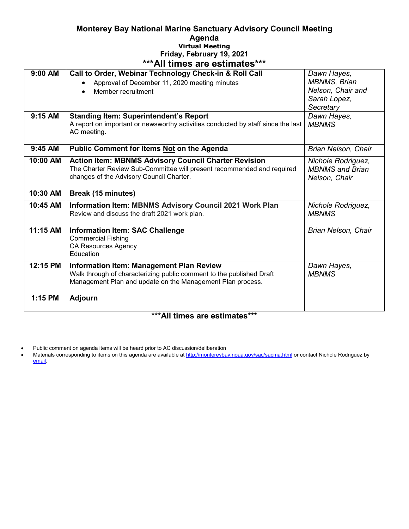## **Monterey Bay National Marine Sanctuary Advisory Council Meeting Agenda Virtual Meeting Friday, February 19, 2021 \*\*\*All times are estimates\*\*\***

| 9:00 AM                        | Call to Order, Webinar Technology Check-in & Roll Call                                                                                | Dawn Hayes,                                  |
|--------------------------------|---------------------------------------------------------------------------------------------------------------------------------------|----------------------------------------------|
|                                | Approval of December 11, 2020 meeting minutes                                                                                         | MBNMS, Brian                                 |
|                                | Member recruitment                                                                                                                    | Nelson, Chair and                            |
|                                |                                                                                                                                       | Sarah Lopez,                                 |
|                                |                                                                                                                                       | Secretary                                    |
| 9:15 AM                        | <b>Standing Item: Superintendent's Report</b>                                                                                         | Dawn Hayes,                                  |
|                                | A report on important or newsworthy activities conducted by staff since the last                                                      | <b>MBNMS</b>                                 |
|                                | AC meeting.                                                                                                                           |                                              |
|                                |                                                                                                                                       |                                              |
| 9:45 AM                        | Public Comment for Items Not on the Agenda                                                                                            | Brian Nelson, Chair                          |
| 10:00 AM                       |                                                                                                                                       |                                              |
|                                | <b>Action Item: MBNMS Advisory Council Charter Revision</b><br>The Charter Review Sub-Committee will present recommended and required | Nichole Rodriguez,<br><b>MBNMS</b> and Brian |
|                                | changes of the Advisory Council Charter.                                                                                              |                                              |
|                                |                                                                                                                                       | Nelson, Chair                                |
| 10:30 AM                       | Break (15 minutes)                                                                                                                    |                                              |
| 10:45 AM                       | Information Item: MBNMS Advisory Council 2021 Work Plan                                                                               | Nichole Rodriguez,                           |
|                                | Review and discuss the draft 2021 work plan.                                                                                          | <b>MBNMS</b>                                 |
|                                |                                                                                                                                       |                                              |
| 11:15 AM                       | <b>Information Item: SAC Challenge</b>                                                                                                | Brian Nelson, Chair                          |
|                                | <b>Commercial Fishing</b>                                                                                                             |                                              |
|                                | <b>CA Resources Agency</b>                                                                                                            |                                              |
|                                | Education                                                                                                                             |                                              |
| 12:15 PM                       | <b>Information Item: Management Plan Review</b>                                                                                       | Dawn Hayes,                                  |
|                                | Walk through of characterizing public comment to the published Draft                                                                  | <b>MBNMS</b>                                 |
|                                | Management Plan and update on the Management Plan process.                                                                            |                                              |
|                                |                                                                                                                                       |                                              |
| 1:15 PM                        | <b>Adjourn</b>                                                                                                                        |                                              |
|                                |                                                                                                                                       |                                              |
| *** A II 45.<br>45.4<br>مقدمات |                                                                                                                                       |                                              |

## **\*\*\*All times are estimates\*\*\***

• Public comment on agenda items will be heard prior to AC discussion/deliberation

• Materials corresponding to items on this agenda are available a[t http://montereybay.noaa.gov/sac/sacma.html](http://montereybay.noaa.gov/sac/sacma.html) or contact Nichole Rodriguez by [email.](mailto:dawn.hayes@noaa.gov)